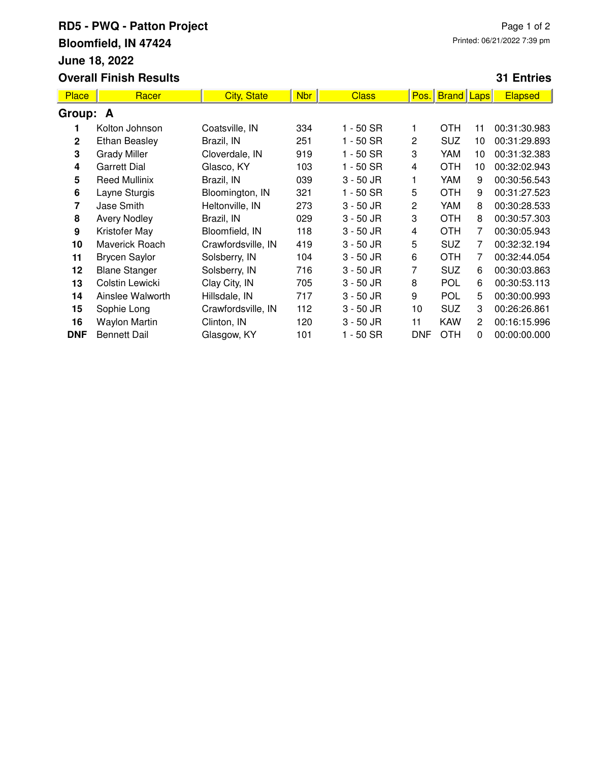## **RD5 - PWQ - Patton Project Bloomfield, IN 47424 June 18, 2022 Overall Finish Results**

## **31 Entries**

| <b>Place</b> | Racer                | <b>City, State</b> | <b>Nbr</b> | <b>Class</b> | Pos.         | <b>Brand Laps</b> |                       | <b>Elapsed</b> |  |  |  |
|--------------|----------------------|--------------------|------------|--------------|--------------|-------------------|-----------------------|----------------|--|--|--|
| Group: A     |                      |                    |            |              |              |                   |                       |                |  |  |  |
|              | Kolton Johnson       | Coatsville, IN     | 334        | $1 - 50$ SR  | 1            | <b>OTH</b>        | 11                    | 00:31:30.983   |  |  |  |
| $\mathbf{2}$ | <b>Ethan Beasley</b> | Brazil, IN         | 251        | 1 - 50 SR    | $\mathbf{2}$ | <b>SUZ</b>        | 10                    | 00:31:29.893   |  |  |  |
| 3            | <b>Grady Miller</b>  | Cloverdale, IN     | 919        | 1 - 50 SR    | 3            | YAM               | 10                    | 00:31:32.383   |  |  |  |
| 4            | <b>Garrett Dial</b>  | Glasco, KY         | 103        | 1 - 50 SR    | 4            | <b>OTH</b>        | 10                    | 00:32:02.943   |  |  |  |
| 5            | <b>Reed Mullinix</b> | Brazil, IN         | 039        | $3 - 50$ JR  | 1            | YAM               | 9                     | 00:30:56.543   |  |  |  |
| 6            | Layne Sturgis        | Bloomington, IN    | 321        | 1 - 50 SR    | 5            | <b>OTH</b>        | 9                     | 00:31:27.523   |  |  |  |
| 7            | Jase Smith           | Heltonville, IN    | 273        | $3 - 50$ JR  | 2            | YAM               | 8                     | 00:30:28.533   |  |  |  |
| 8            | <b>Avery Nodley</b>  | Brazil, IN         | 029        | $3 - 50$ JR  | 3            | <b>OTH</b>        | 8                     | 00:30:57.303   |  |  |  |
| 9            | Kristofer May        | Bloomfield, IN     | 118        | $3 - 50$ JR  | 4            | <b>OTH</b>        | 7                     | 00:30:05.943   |  |  |  |
| 10           | Maverick Roach       | Crawfordsville, IN | 419        | $3 - 50$ JR  | 5            | <b>SUZ</b>        | 7                     | 00:32:32.194   |  |  |  |
| 11           | <b>Brycen Saylor</b> | Solsberry, IN      | 104        | $3 - 50$ JR  | 6            | <b>OTH</b>        | 7                     | 00:32:44.054   |  |  |  |
| 12           | <b>Blane Stanger</b> | Solsberry, IN      | 716        | $3 - 50$ JR  | 7            | <b>SUZ</b>        | 6                     | 00:30:03.863   |  |  |  |
| 13           | Colstin Lewicki      | Clay City, IN      | 705        | $3 - 50$ JR  | 8            | <b>POL</b>        | 6                     | 00:30:53.113   |  |  |  |
| 14           | Ainslee Walworth     | Hillsdale, IN      | 717        | $3 - 50$ JR  | 9            | <b>POL</b>        | 5                     | 00:30:00.993   |  |  |  |
| 15           | Sophie Long          | Crawfordsville, IN | 112        | $3 - 50$ JR  | 10           | <b>SUZ</b>        | 3                     | 00:26:26.861   |  |  |  |
| 16           | Waylon Martin        | Clinton, IN        | 120        | $3 - 50$ JR  | 11           | <b>KAW</b>        | $\mathbf{2}^{\prime}$ | 00:16:15.996   |  |  |  |
| <b>DNF</b>   | <b>Bennett Dail</b>  | Glasgow, KY        | 101        | $1 - 50$ SR  | <b>DNF</b>   | <b>OTH</b>        | 0                     | 00:00:00.000   |  |  |  |